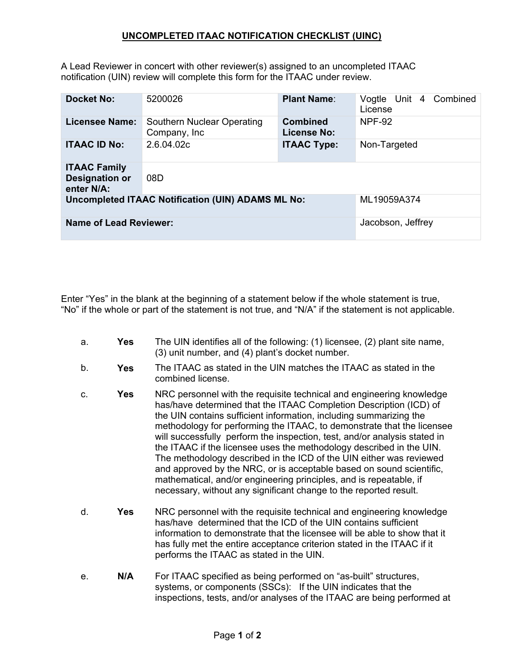## **UNCOMPLETED ITAAC NOTIFICATION CHECKLIST (UINC)**

A Lead Reviewer in concert with other reviewer(s) assigned to an uncompleted ITAAC notification (UIN) review will complete this form for the ITAAC under review.

| <b>Docket No:</b>                                          | 5200026                                     | <b>Plant Name:</b>                    | Combined<br>Vogtle Unit 4<br>License |
|------------------------------------------------------------|---------------------------------------------|---------------------------------------|--------------------------------------|
| Licensee Name:                                             | Southern Nuclear Operating<br>Company, Inc. | <b>Combined</b><br><b>License No:</b> | <b>NPF-92</b>                        |
| <b>ITAAC ID No:</b>                                        | 2.6.04.02c                                  | <b>ITAAC Type:</b>                    | Non-Targeted                         |
| <b>ITAAC Family</b><br><b>Designation or</b><br>enter N/A: | 08D                                         |                                       |                                      |
| <b>Uncompleted ITAAC Notification (UIN) ADAMS ML No:</b>   |                                             |                                       | ML19059A374                          |
| <b>Name of Lead Reviewer:</b>                              |                                             |                                       | Jacobson, Jeffrey                    |

Enter "Yes" in the blank at the beginning of a statement below if the whole statement is true, "No" if the whole or part of the statement is not true, and "N/A" if the statement is not applicable.

- a. **Yes** The UIN identifies all of the following: (1) licensee, (2) plant site name, (3) unit number, and (4) plant's docket number.
- b. **Yes** The ITAAC as stated in the UIN matches the ITAAC as stated in the combined license.
- c. **Yes** NRC personnel with the requisite technical and engineering knowledge has/have determined that the ITAAC Completion Description (ICD) of the UIN contains sufficient information, including summarizing the methodology for performing the ITAAC, to demonstrate that the licensee will successfully perform the inspection, test, and/or analysis stated in the ITAAC if the licensee uses the methodology described in the UIN. The methodology described in the ICD of the UIN either was reviewed and approved by the NRC, or is acceptable based on sound scientific, mathematical, and/or engineering principles, and is repeatable, if necessary, without any significant change to the reported result.
- d. **Yes** NRC personnel with the requisite technical and engineering knowledge has/have determined that the ICD of the UIN contains sufficient information to demonstrate that the licensee will be able to show that it has fully met the entire acceptance criterion stated in the ITAAC if it performs the ITAAC as stated in the UIN.
- e. **N/A** For ITAAC specified as being performed on "as-built" structures, systems, or components (SSCs): If the UIN indicates that the inspections, tests, and/or analyses of the ITAAC are being performed at